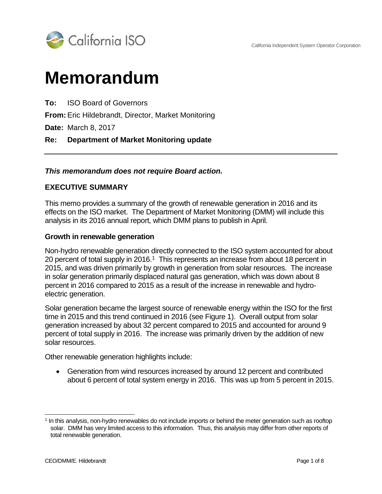

# **Memorandum**

**To:** ISO Board of Governors

**From:** Eric Hildebrandt, Director, Market Monitoring

**Date:** March 8, 2017

#### **Re: Department of Market Monitoring update**

#### *This memorandum does not require Board action.*

#### **EXECUTIVE SUMMARY**

This memo provides a summary of the growth of renewable generation in 2016 and its effects on the ISO market. The Department of Market Monitoring (DMM) will include this analysis in its 2016 annual report, which DMM plans to publish in April.

#### **Growth in renewable generation**

Non-hydro renewable generation directly connected to the ISO system accounted for about 20 percent of total supply in 20[1](#page-0-0)6.<sup>1</sup> This represents an increase from about 18 percent in 2015, and was driven primarily by growth in generation from solar resources. The increase in solar generation primarily displaced natural gas generation, which was down about 8 percent in 2016 compared to 2015 as a result of the increase in renewable and hydroelectric generation.

Solar generation became the largest source of renewable energy within the ISO for the first time in 2015 and this trend continued in 2016 (see Figure 1). Overall output from solar generation increased by about 32 percent compared to 2015 and accounted for around 9 percent of total supply in 2016. The increase was primarily driven by the addition of new solar resources.

Other renewable generation highlights include:

• Generation from wind resources increased by around 12 percent and contributed about 6 percent of total system energy in 2016. This was up from 5 percent in 2015.

<span id="page-0-0"></span> <sup>1</sup> In this analysis, non-hydro renewables do not include imports or behind the meter generation such as rooftop solar. DMM has very limited access to this information. Thus, this analysis may differ from other reports of total renewable generation.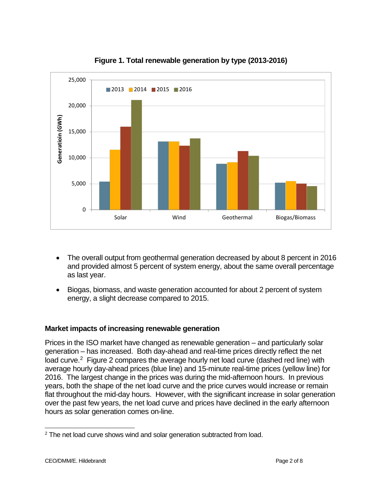

**Figure 1. Total renewable generation by type (2013-2016)**

- The overall output from geothermal generation decreased by about 8 percent in 2016 and provided almost 5 percent of system energy, about the same overall percentage as last year.
- Biogas, biomass, and waste generation accounted for about 2 percent of system energy, a slight decrease compared to 2015.

## **Market impacts of increasing renewable generation**

Prices in the ISO market have changed as renewable generation – and particularly solar generation – has increased. Both day-ahead and real-time prices directly reflect the net load curve.<sup>2</sup> Figure [2](#page-1-0) compares the average hourly net load curve (dashed red line) with average hourly day-ahead prices (blue line) and 15-minute real-time prices (yellow line) for 2016. The largest change in the prices was during the mid-afternoon hours. In previous years, both the shape of the net load curve and the price curves would increase or remain flat throughout the mid-day hours. However, with the significant increase in solar generation over the past few years, the net load curve and prices have declined in the early afternoon hours as solar generation comes on-line.

<span id="page-1-0"></span><sup>&</sup>lt;sup>2</sup> The net load curve shows wind and solar generation subtracted from load.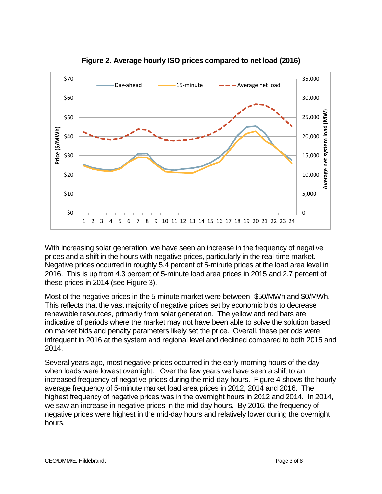

**Figure 2. Average hourly ISO prices compared to net load (2016)**

With increasing solar generation, we have seen an increase in the frequency of negative prices and a shift in the hours with negative prices, particularly in the real-time market. Negative prices occurred in roughly 5.4 percent of 5-minute prices at the load area level in 2016. This is up from 4.3 percent of 5-minute load area prices in 2015 and 2.7 percent of these prices in 2014 (see [Figure 3\)](#page-3-0).

Most of the negative prices in the 5-minute market were between -\$50/MWh and \$0/MWh. This reflects that the vast majority of negative prices set by economic bids to decrease renewable resources, primarily from solar generation. The yellow and red bars are indicative of periods where the market may not have been able to solve the solution based on market bids and penalty parameters likely set the price. Overall, these periods were infrequent in 2016 at the system and regional level and declined compared to both 2015 and 2014.

Several years ago, most negative prices occurred in the early morning hours of the day when loads were lowest overnight. Over the few years we have seen a shift to an increased frequency of negative prices during the mid-day hours. [Figure 4](#page-3-1) shows the hourly average frequency of 5-minute market load area prices in 2012, 2014 and 2016. The highest frequency of negative prices was in the overnight hours in 2012 and 2014. In 2014, we saw an increase in negative prices in the mid-day hours. By 2016, the frequency of negative prices were highest in the mid-day hours and relatively lower during the overnight hours.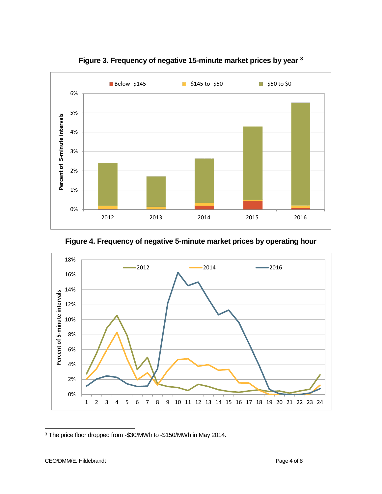<span id="page-3-0"></span>

<span id="page-3-1"></span>**Figure 3. Frequency of negative 15-minute market prices by year [3](#page-3-2)**

## **Figure 4. Frequency of negative 5-minute market prices by operating hour**



<span id="page-3-2"></span> <sup>3</sup> The price floor dropped from -\$30/MWh to -\$150/MWh in May 2014.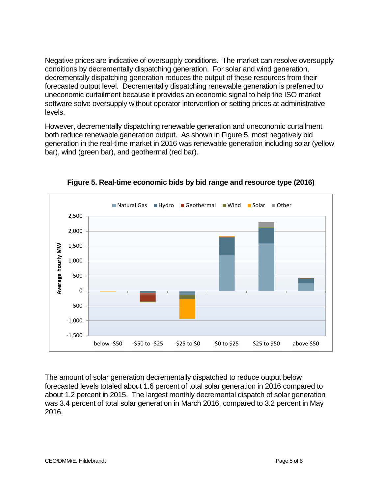Negative prices are indicative of oversupply conditions. The market can resolve oversupply conditions by decrementally dispatching generation. For solar and wind generation, decrementally dispatching generation reduces the output of these resources from their forecasted output level. Decrementally dispatching renewable generation is preferred to uneconomic curtailment because it provides an economic signal to help the ISO market software solve oversupply without operator intervention or setting prices at administrative levels.

However, decrementally dispatching renewable generation and uneconomic curtailment both reduce renewable generation output. As shown in [Figure 5,](#page-4-0) most negatively bid generation in the real-time market in 2016 was renewable generation including solar (yellow bar), wind (green bar), and geothermal (red bar).

<span id="page-4-0"></span>

**Figure 5. Real-time economic bids by bid range and resource type (2016)**

The amount of solar generation decrementally dispatched to reduce output below forecasted levels totaled about 1.6 percent of total solar generation in 2016 compared to about 1.2 percent in 2015. The largest monthly decremental dispatch of solar generation was 3.4 percent of total solar generation in March 2016, compared to 3.2 percent in May 2016.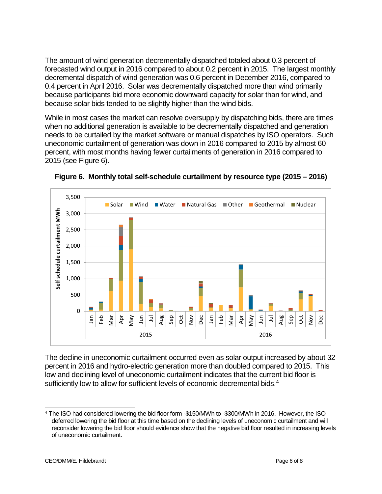The amount of wind generation decrementally dispatched totaled about 0.3 percent of forecasted wind output in 2016 compared to about 0.2 percent in 2015. The largest monthly decremental dispatch of wind generation was 0.6 percent in December 2016, compared to 0.4 percent in April 2016. Solar was decrementally dispatched more than wind primarily because participants bid more economic downward capacity for solar than for wind, and because solar bids tended to be slightly higher than the wind bids.

While in most cases the market can resolve oversupply by dispatching bids, there are times when no additional generation is available to be decrementally dispatched and generation needs to be curtailed by the market software or manual dispatches by ISO operators. Such uneconomic curtailment of generation was down in 2016 compared to 2015 by almost 60 percent, with most months having fewer curtailments of generation in 2016 compared to 2015 (see [Figure 6\)](#page-5-0).



<span id="page-5-0"></span>**Figure 6. Monthly total self-schedule curtailment by resource type (2015 – 2016)**

The decline in uneconomic curtailment occurred even as solar output increased by about 32 percent in 2016 and hydro-electric generation more than doubled compared to 2015. This low and declining level of uneconomic curtailment indicates that the current bid floor is sufficiently low to allow for sufficient levels of economic decremental bids.<sup>[4](#page-5-1)</sup>

<span id="page-5-1"></span> <sup>4</sup> The ISO had considered lowering the bid floor form -\$150/MWh to -\$300/MWh in 2016. However, the ISO deferred lowering the bid floor at this time based on the declining levels of uneconomic curtailment and will reconsider lowering the bid floor should evidence show that the negative bid floor resulted in increasing levels of uneconomic curtailment.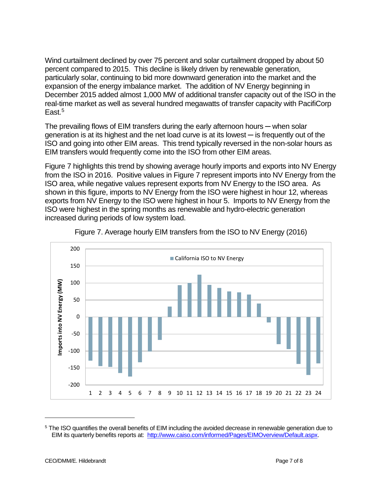<span id="page-6-0"></span>Wind curtailment declined by over 75 percent and solar curtailment dropped by about 50 percent compared to 2015. This decline is likely driven by renewable generation, particularly solar, continuing to bid more downward generation into the market and the expansion of the energy imbalance market. The addition of NV Energy beginning in December 2015 added almost 1,000 MW of additional transfer capacity out of the ISO in the real-time market as well as several hundred megawatts of transfer capacity with PacifiCorp East.<sup>[5](#page-6-1)</sup>

The prevailing flows of EIM transfers during the early afternoon hours — when solar generation is at its highest and the net load curve is at its lowest ─ is frequently out of the ISO and going into other EIM areas. This trend typically reversed in the non-solar hours as EIM transfers would frequently come into the ISO from other EIM areas.

[Figure 7](#page-6-0) highlights this trend by showing average hourly imports and exports into NV Energy from the ISO in 2016. Positive values in Figure 7 represent imports into NV Energy from the ISO area, while negative values represent exports from NV Energy to the ISO area. As shown in this figure, imports to NV Energy from the ISO were highest in hour 12, whereas exports from NV Energy to the ISO were highest in hour 5. Imports to NV Energy from the ISO were highest in the spring months as renewable and hydro-electric generation increased during periods of low system load.





j

<span id="page-6-1"></span><sup>5</sup> The ISO quantifies the overall benefits of EIM including the avoided decrease in renewable generation due to EIM its quarterly benefits reports at: [http://www.caiso.com/informed/Pages/EIMOverview/Default.aspx.](http://www.caiso.com/informed/Pages/EIMOverview/Default.aspx)